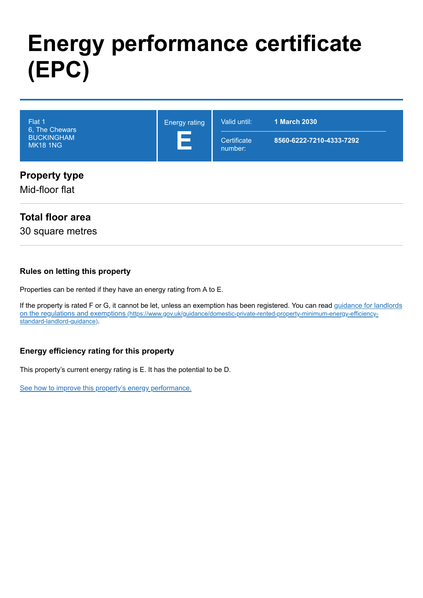# **Energy performance certificate (EPC)**

| Flat 1<br>6, The Chewars<br><b>BUCKINGHAM</b><br><b>MK18 1NG</b> | <b>Energy rating</b><br>Е | Valid until:<br>Certificate<br>number: | <b>1 March 2030</b><br>8560-6222-7210-4333-7292 |
|------------------------------------------------------------------|---------------------------|----------------------------------------|-------------------------------------------------|
| <b>Property type</b><br>Mid-floor flat                           |                           |                                        |                                                 |

## **Total floor area**

30 square metres

#### **Rules on letting this property**

Properties can be rented if they have an energy rating from A to E.

[If the property is rated F or G, it cannot be let, unless an exemption has been registered. You can read guidance for landlords](https://www.gov.uk/guidance/domestic-private-rented-property-minimum-energy-efficiency-standard-landlord-guidance) on the regulations and exemptions (https://www.gov.uk/guidance/domestic-private-rented-property-minimum-energy-efficiencystandard-landlord-guidance).

#### **Energy efficiency rating for this property**

This property's current energy rating is E. It has the potential to be D.

[See how to improve this property's energy performance.](#page-3-0)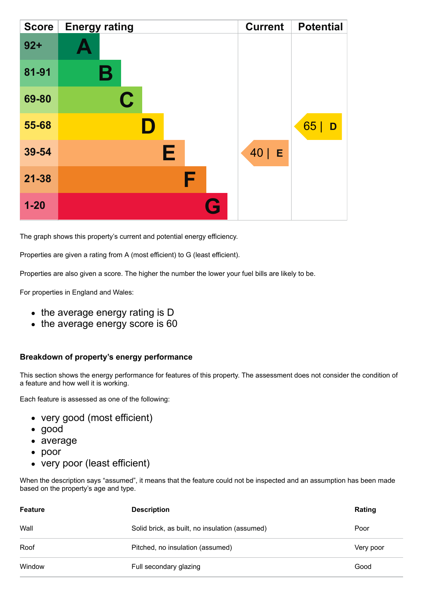| <b>Score</b> | <b>Energy rating</b> | <b>Current</b> | <b>Potential</b> |
|--------------|----------------------|----------------|------------------|
| $92 +$       |                      |                |                  |
| 81-91        | Β                    |                |                  |
| 69-80        | $\mathbf C$          |                |                  |
| 55-68        |                      |                | 65<br>D          |
| 39-54        | E                    | $40$   E       |                  |
| $21 - 38$    | F                    |                |                  |
| $1 - 20$     | Q                    |                |                  |

The graph shows this property's current and potential energy efficiency.

Properties are given a rating from A (most efficient) to G (least efficient).

Properties are also given a score. The higher the number the lower your fuel bills are likely to be.

For properties in England and Wales:

- the average energy rating is D
- the average energy score is 60

#### **Breakdown of property's energy performance**

This section shows the energy performance for features of this property. The assessment does not consider the condition of a feature and how well it is working.

Each feature is assessed as one of the following:

- very good (most efficient)
- good
- average
- poor
- very poor (least efficient)

When the description says "assumed", it means that the feature could not be inspected and an assumption has been made based on the property's age and type.

| <b>Feature</b> | <b>Description</b>                             | Rating    |
|----------------|------------------------------------------------|-----------|
| Wall           | Solid brick, as built, no insulation (assumed) | Poor      |
| Roof           | Pitched, no insulation (assumed)               | Very poor |
| Window         | Full secondary glazing                         | Good      |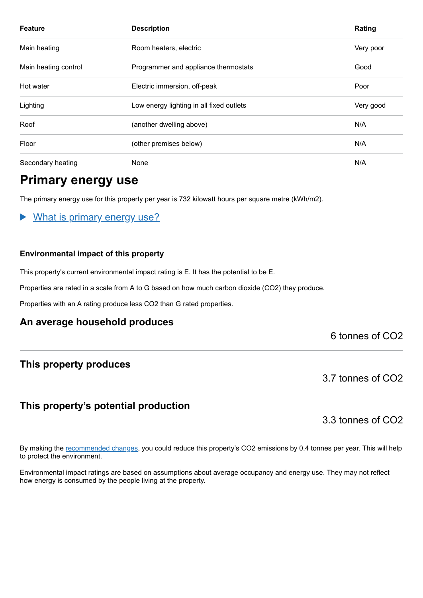| <b>Feature</b>       | <b>Description</b>                       | Rating    |
|----------------------|------------------------------------------|-----------|
| Main heating         | Room heaters, electric                   | Very poor |
| Main heating control | Programmer and appliance thermostats     | Good      |
| Hot water            | Electric immersion, off-peak             | Poor      |
| Lighting             | Low energy lighting in all fixed outlets | Very good |
| Roof                 | (another dwelling above)                 | N/A       |
| Floor                | (other premises below)                   | N/A       |
| Secondary heating    | None                                     | N/A       |

## **Primary energy use**

The primary energy use for this property per year is 732 kilowatt hours per square metre (kWh/m2).

#### What is primary energy use?

#### **Environmental impact of this property**

This property's current environmental impact rating is E. It has the potential to be E.

Properties are rated in a scale from A to G based on how much carbon dioxide (CO2) they produce.

Properties with an A rating produce less CO2 than G rated properties.

#### **An average household produces**

#### 6 tonnes of CO2

#### **This property produces**

3.7 tonnes of CO2

### **This property's potential production**

3.3 tonnes of CO2

By making the [recommended changes,](#page-3-0) you could reduce this property's CO2 emissions by 0.4 tonnes per year. This will help to protect the environment.

Environmental impact ratings are based on assumptions about average occupancy and energy use. They may not reflect how energy is consumed by the people living at the property.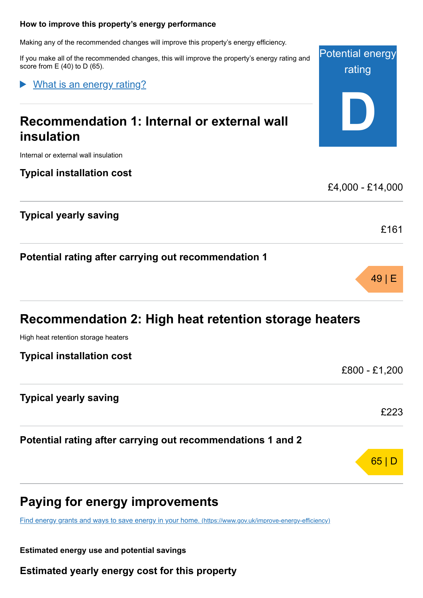#### <span id="page-3-0"></span>**How to improve this property's energy performance**

Making any of the recommended changes will improve this property's energy efficiency.

If you make all of the recommended changes, this will improve the property's energy rating and score from  $E(40)$  to  $D(65)$ .

Potential energy

rating

**D**

£4,000 - £14,000

£161

49 | E

What is an energy rating?

# **Recommendation 1: Internal or external wall insulation**

Internal or external wall insulation

**Typical installation cost**

**Typical yearly saving**

**Potential rating after carrying out recommendation 1**

| Recommendation 2: High heat retention storage heaters       |               |  |
|-------------------------------------------------------------|---------------|--|
| High heat retention storage heaters                         |               |  |
| <b>Typical installation cost</b>                            |               |  |
|                                                             | £800 - £1,200 |  |
| <b>Typical yearly saving</b>                                | £223          |  |
| Potential rating after carrying out recommendations 1 and 2 |               |  |
|                                                             | 65 C          |  |

# **Paying for energy improvements**

[Find energy grants and ways to save energy in your home.](https://www.gov.uk/improve-energy-efficiency) (https://www.gov.uk/improve-energy-efficiency)

**Estimated energy use and potential savings**

**Estimated yearly energy cost for this property**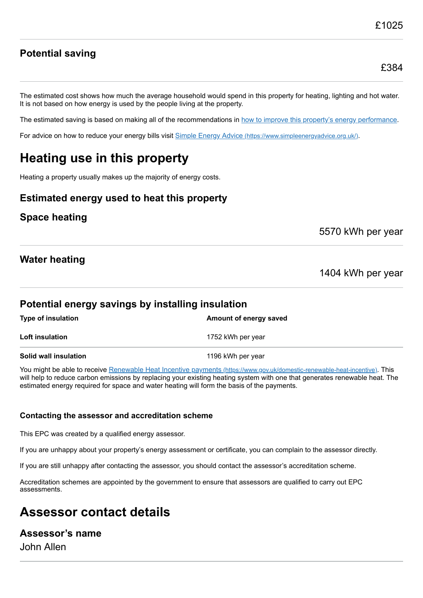## **Potential saving**

The estimated cost shows how much the average household would spend in this property for heating, lighting and hot water. It is not based on how energy is used by the people living at the property.

The estimated saving is based on making all of the recommendations in [how to improve this property's energy performance.](#page-3-0)

For advice on how to reduce your energy bills visit Simple Energy Advice [\(https://www.simpleenergyadvice.org.uk/\)](https://www.simpleenergyadvice.org.uk/).

# **Heating use in this property**

Heating a property usually makes up the majority of energy costs.

#### **Estimated energy used to heat this property**

#### **Space heating**

5570 kWh per year

#### **Water heating**

1404 kWh per year

#### **Potential energy savings by installing insulation**

| <b>Type of insulation</b> | Amount of energy saved |
|---------------------------|------------------------|
| Loft insulation           | 1752 kWh per year      |
| Solid wall insulation     | 1196 kWh per year      |

You might be able to receive Renewable Heat Incentive payments [\(https://www.gov.uk/domestic-renewable-heat-incentive\)](https://www.gov.uk/domestic-renewable-heat-incentive). This will help to reduce carbon emissions by replacing your existing heating system with one that generates renewable heat. The estimated energy required for space and water heating will form the basis of the payments.

#### **Contacting the assessor and accreditation scheme**

This EPC was created by a qualified energy assessor.

If you are unhappy about your property's energy assessment or certificate, you can complain to the assessor directly.

If you are still unhappy after contacting the assessor, you should contact the assessor's accreditation scheme.

Accreditation schemes are appointed by the government to ensure that assessors are qualified to carry out EPC assessments.

# **Assessor contact details**

#### **Assessor's name**

John Allen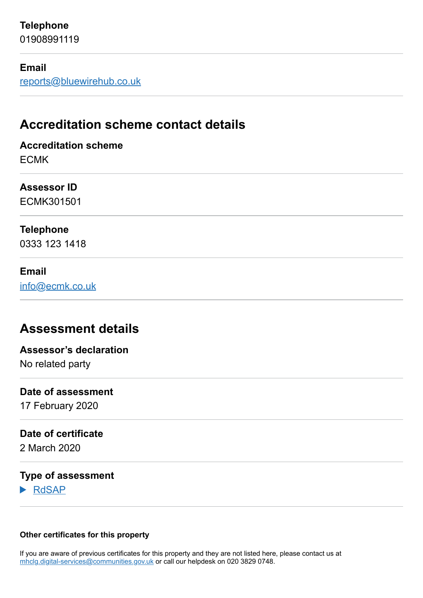## **Telephone**

01908991119

#### **Email**

[reports@bluewirehub.co.uk](mailto:reports@bluewirehub.co.uk)

# **Accreditation scheme contact details**

**Accreditation scheme** ECMK

#### **Assessor ID**

ECMK301501

#### **Telephone**

0333 123 1418

#### **Email**

[info@ecmk.co.uk](mailto:info@ecmk.co.uk)

# **Assessment details**

**Assessor's declaration**

No related party

#### **Date of assessment**

17 February 2020

#### **Date of certificate**

2 March 2020

#### **Type of assessment**

RdSAP

#### **Other certificates for this property**

If you are aware of previous certificates for this property and they are not listed here, please contact us at [mhclg.digital-services@communities.gov.uk](mailto:mhclg.digital-services@communities.gov.uk?subject=EPB%20-) or call our helpdesk on 020 3829 0748.